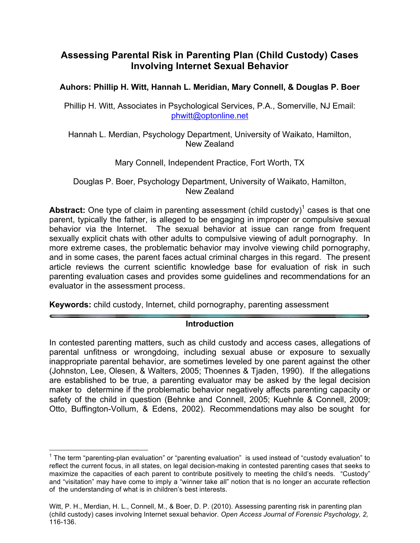# **Assessing Parental Risk in Parenting Plan (Child Custody) Cases Involving Internet Sexual Behavior**

### **Auhors: Phillip H. Witt, Hannah L. Meridian, Mary Connell, & Douglas P. Boer**

Phillip H. Witt, Associates in Psychological Services, P.A., Somerville, NJ Email: phwitt@optonline.net

Hannah L. Merdian, Psychology Department, University of Waikato, Hamilton, New Zealand

#### Mary Connell, Independent Practice, Fort Worth, TX

Douglas P. Boer, Psychology Department, University of Waikato, Hamilton, New Zealand

**Abstract:** One type of claim in parenting assessment (child custody)<sup>1</sup> cases is that one parent, typically the father, is alleged to be engaging in improper or compulsive sexual behavior via the Internet. The sexual behavior at issue can range from frequent sexually explicit chats with other adults to compulsive viewing of adult pornography. In more extreme cases, the problematic behavior may involve viewing child pornography, and in some cases, the parent faces actual criminal charges in this regard. The present article reviews the current scientific knowledge base for evaluation of risk in such parenting evaluation cases and provides some guidelines and recommendations for an evaluator in the assessment process.

**Keywords:** child custody, Internet, child pornography, parenting assessment

#### **Introduction**

In contested parenting matters, such as child custody and access cases, allegations of parental unfitness or wrongdoing, including sexual abuse or exposure to sexually inappropriate parental behavior, are sometimes leveled by one parent against the other (Johnston, Lee, Olesen, & Walters, 2005; Thoennes & Tjaden, 1990). If the allegations are established to be true, a parenting evaluator may be asked by the legal decision maker to determine if the problematic behavior negatively affects parenting capacity or safety of the child in question (Behnke and Connell, 2005; Kuehnle & Connell, 2009; Otto, Buffington-Vollum, & Edens, 2002). Recommendations may also be sought for

 $1$  The term "parenting-plan evaluation" or "parenting evaluation" is used instead of "custody evaluation" to reflect the current focus, in all states, on legal decision-making in contested parenting cases that seeks to maximize the capacities of each parent to contribute positively to meeting the child's needs. "Custody" and "visitation" may have come to imply a "winner take all" notion that is no longer an accurate reflection of the understanding of what is in children's best interests.

Witt, P. H., Merdian, H. L., Connell, M., & Boer, D. P. (2010). Assessing parenting risk in parenting plan (child custody) cases involving Internet sexual behavior. *Open Access Journal of Forensic Psychology, 2,* 116-136.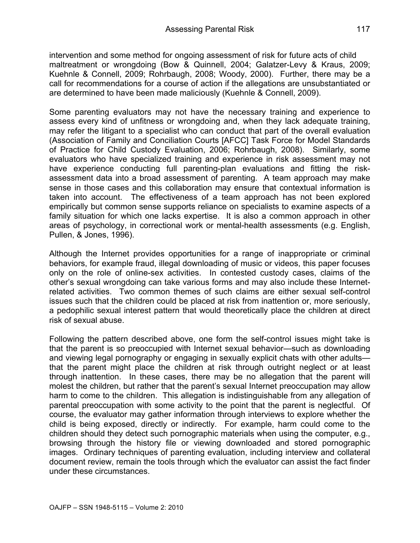intervention and some method for ongoing assessment of risk for future acts of child maltreatment or wrongdoing (Bow & Quinnell, 2004; Galatzer-Levy & Kraus, 2009; Kuehnle & Connell, 2009; Rohrbaugh, 2008; Woody, 2000). Further, there may be a call for recommendations for a course of action if the allegations are unsubstantiated or are determined to have been made maliciously (Kuehnle & Connell, 2009).

Some parenting evaluators may not have the necessary training and experience to assess every kind of unfitness or wrongdoing and, when they lack adequate training, may refer the litigant to a specialist who can conduct that part of the overall evaluation (Association of Family and Conciliation Courts [AFCC] Task Force for Model Standards of Practice for Child Custody Evaluation, 2006; Rohrbaugh, 2008). Similarly, some evaluators who have specialized training and experience in risk assessment may not have experience conducting full parenting-plan evaluations and fitting the riskassessment data into a broad assessment of parenting. A team approach may make sense in those cases and this collaboration may ensure that contextual information is taken into account. The effectiveness of a team approach has not been explored empirically but common sense supports reliance on specialists to examine aspects of a family situation for which one lacks expertise. It is also a common approach in other areas of psychology, in correctional work or mental-health assessments (e.g. English, Pullen, & Jones, 1996).

Although the Internet provides opportunities for a range of inappropriate or criminal behaviors, for example fraud, illegal downloading of music or videos, this paper focuses only on the role of online-sex activities. In contested custody cases, claims of the other's sexual wrongdoing can take various forms and may also include these Internetrelated activities. Two common themes of such claims are either sexual self-control issues such that the children could be placed at risk from inattention or, more seriously, a pedophilic sexual interest pattern that would theoretically place the children at direct risk of sexual abuse.

Following the pattern described above, one form the self-control issues might take is that the parent is so preoccupied with Internet sexual behavior—such as downloading and viewing legal pornography or engaging in sexually explicit chats with other adults that the parent might place the children at risk through outright neglect or at least through inattention. In these cases, there may be no allegation that the parent will molest the children, but rather that the parent's sexual Internet preoccupation may allow harm to come to the children. This allegation is indistinguishable from any allegation of parental preoccupation with some activity to the point that the parent is neglectful. Of course, the evaluator may gather information through interviews to explore whether the child is being exposed, directly or indirectly. For example, harm could come to the children should they detect such pornographic materials when using the computer, e.g., browsing through the history file or viewing downloaded and stored pornographic images. Ordinary techniques of parenting evaluation, including interview and collateral document review, remain the tools through which the evaluator can assist the fact finder under these circumstances.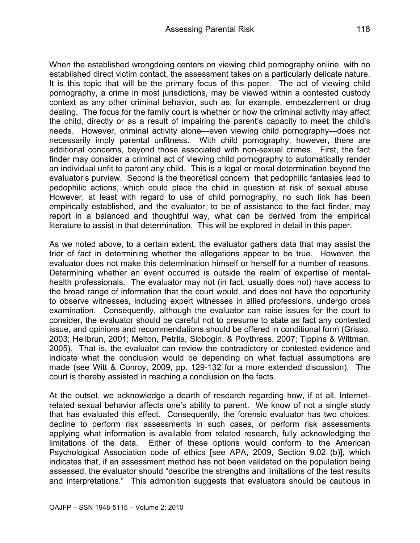When the established wrongdoing centers on viewing child pornography online, with no established direct victim contact, the assessment takes on a particularly delicate nature. It is this topic that will be the primary focus of this paper. The act of viewing child pornography, a crime in most jurisdictions, may be viewed within a contested custody context as any other criminal behavior, such as, for example, embezzlement or drug dealing. The focus for the family court is whether or how the criminal activity may affect the child, directly or as a result of impairing the parent's capacity to meet the child's needs. However, criminal activity alone—even viewing child pornography—does not necessarily imply parental unfitness. With child pornography, however, there are additional concerns, beyond those associated with non-sexual crimes. First, the fact finder may consider a criminal act of viewing child pornography to automatically render an individual unfit to parent any child. This is a legal or moral determination beyond the evaluator's purview. Second is the theoretical concern that pedophilic fantasies lead to pedophilic actions, which could place the child in question at risk of sexual abuse. However, at least with regard to use of child pornography, no such link has been empirically established, and the evaluator, to be of assistance to the fact finder, may report in a balanced and thoughtful way, what can be derived from the empirical literature to assist in that determination. This will be explored in detail in this paper.

As we noted above, to a certain extent, the evaluator gathers data that may assist the trier of fact in determining whether the allegations appear to be true. However, the evaluator does not make this determination himself or herself for a number of reasons. Determining whether an event occurred is outside the realm of expertise of mentalhealth professionals. The evaluator may not (in fact, usually does not) have access to the broad range of information that the court would, and does not have the opportunity to observe witnesses, including expert witnesses in allied professions, undergo cross examination. Consequently, although the evaluator can raise issues for the court to consider, the evaluator should be careful not to presume to state as fact any contested issue, and opinions and recommendations should be offered in conditional form (Grisso, 2003; Heilbrun, 2001; Melton, Petrila, Slobogin, & Poythress, 2007; Tippins & Wittman, 2005). That is, the evaluator can review the contradictory or contested evidence and indicate what the conclusion would be depending on what factual assumptions are made (see Witt & Conroy, 2009, pp. 129-132 for a more extended discussion). The court is thereby assisted in reaching a conclusion on the facts.

At the outset, we acknowledge a dearth of research regarding how, if at all, Internetrelated sexual behavior affects one's ability to parent. We know of not a single study that has evaluated this effect. Consequently, the forensic evaluator has two choices: decline to perform risk assessments in such cases, or perform risk assessments applying what information is available from related research, fully acknowledging the limitations of the data. Either of these options would conform to the American Psychological Association code of ethics [see APA, 2009, Section 9.02 (b)], which indicates that, if an assessment method has not been validated on the population being assessed, the evaluator should "describe the strengths and limitations of the test results and interpretations." This admonition suggests that evaluators should be cautious in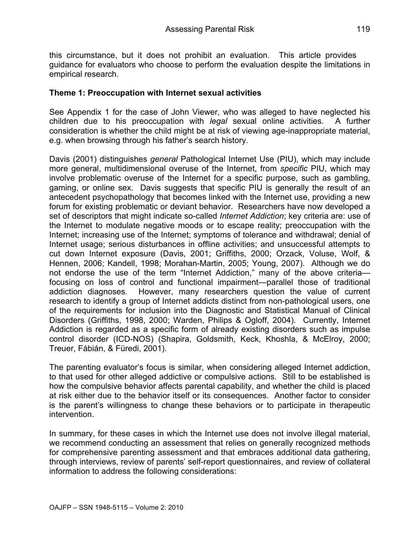this circumstance, but it does not prohibit an evaluation. This article provides guidance for evaluators who choose to perform the evaluation despite the limitations in empirical research.

### **Theme 1: Preoccupation with Internet sexual activities**

See Appendix 1 for the case of John Viewer, who was alleged to have neglected his children due to his preoccupation with *legal* sexual online activities. A further consideration is whether the child might be at risk of viewing age-inappropriate material, e.g. when browsing through his father's search history.

Davis (2001) distinguishes *general* Pathological Internet Use (PIU), which may include more general, multidimensional overuse of the Internet, from *specific* PIU, which may involve problematic overuse of the Internet for a specific purpose, such as gambling, gaming, or online sex. Davis suggests that specific PIU is generally the result of an antecedent psychopathology that becomes linked with the Internet use, providing a new forum for existing problematic or deviant behavior. Researchers have now developed a set of descriptors that might indicate so-called *Internet Addiction*; key criteria are: use of the Internet to modulate negative moods or to escape reality; preoccupation with the Internet; increasing use of the Internet; symptoms of tolerance and withdrawal; denial of Internet usage; serious disturbances in offline activities; and unsuccessful attempts to cut down Internet exposure (Davis, 2001; Griffiths, 2000; Orzack, Voluse, Wolf, & Hennen, 2006; Kandell, 1998; Morahan-Martin, 2005; Young, 2007). Although we do not endorse the use of the term "Internet Addiction," many of the above criteria focusing on loss of control and functional impairment—parallel those of traditional addiction diagnoses. However, many researchers question the value of current research to identify a group of Internet addicts distinct from non-pathological users, one of the requirements for inclusion into the Diagnostic and Statistical Manual of Clinical Disorders (Griffiths, 1998, 2000; Warden, Philips & Ogloff, 2004). Currently, Internet Addiction is regarded as a specific form of already existing disorders such as impulse control disorder (ICD-NOS) (Shapira, Goldsmith, Keck, Khoshla, & McElroy, 2000; Treuer, Fábián, & Füredi, 2001).

The parenting evaluator's focus is similar, when considering alleged Internet addiction, to that used for other alleged addictive or compulsive actions. Still to be established is how the compulsive behavior affects parental capability, and whether the child is placed at risk either due to the behavior itself or its consequences. Another factor to consider is the parent's willingness to change these behaviors or to participate in therapeutic intervention.

In summary, for these cases in which the Internet use does not involve illegal material, we recommend conducting an assessment that relies on generally recognized methods for comprehensive parenting assessment and that embraces additional data gathering, through interviews, review of parents' self-report questionnaires, and review of collateral information to address the following considerations: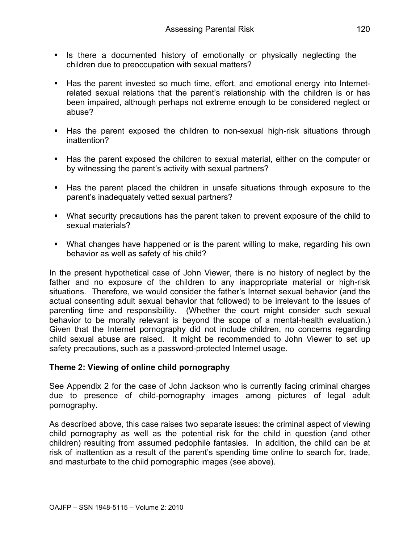- § Is there a documented history of emotionally or physically neglecting the children due to preoccupation with sexual matters?
- Has the parent invested so much time, effort, and emotional energy into Internetrelated sexual relations that the parent's relationship with the children is or has been impaired, although perhaps not extreme enough to be considered neglect or abuse?
- Has the parent exposed the children to non-sexual high-risk situations through inattention?
- § Has the parent exposed the children to sexual material, either on the computer or by witnessing the parent's activity with sexual partners?
- § Has the parent placed the children in unsafe situations through exposure to the parent's inadequately vetted sexual partners?
- What security precautions has the parent taken to prevent exposure of the child to sexual materials?
- What changes have happened or is the parent willing to make, regarding his own behavior as well as safety of his child?

In the present hypothetical case of John Viewer, there is no history of neglect by the father and no exposure of the children to any inappropriate material or high-risk situations. Therefore, we would consider the father's Internet sexual behavior (and the actual consenting adult sexual behavior that followed) to be irrelevant to the issues of parenting time and responsibility. (Whether the court might consider such sexual behavior to be morally relevant is beyond the scope of a mental-health evaluation.) Given that the Internet pornography did not include children, no concerns regarding child sexual abuse are raised. It might be recommended to John Viewer to set up safety precautions, such as a password-protected Internet usage.

### **Theme 2: Viewing of online child pornography**

See Appendix 2 for the case of John Jackson who is currently facing criminal charges due to presence of child-pornography images among pictures of legal adult pornography.

As described above, this case raises two separate issues: the criminal aspect of viewing child pornography as well as the potential risk for the child in question (and other children) resulting from assumed pedophile fantasies. In addition, the child can be at risk of inattention as a result of the parent's spending time online to search for, trade, and masturbate to the child pornographic images (see above).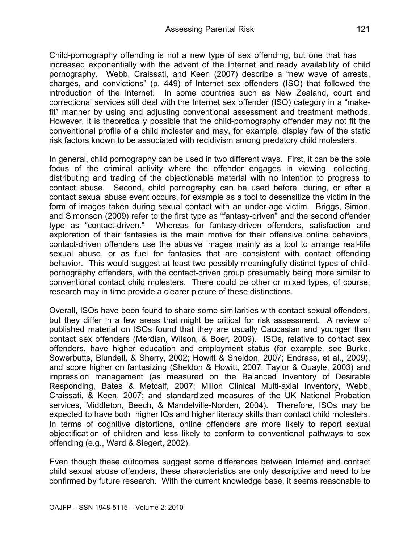Child-pornography offending is not a new type of sex offending, but one that has increased exponentially with the advent of the Internet and ready availability of child pornography. Webb, Craissati, and Keen (2007) describe a "new wave of arrests, charges, and convictions" (p. 449) of Internet sex offenders (ISO) that followed the introduction of the Internet. In some countries such as New Zealand, court and correctional services still deal with the Internet sex offender (ISO) category in a "makefit" manner by using and adjusting conventional assessment and treatment methods. However, it is theoretically possible that the child-pornography offender may not fit the conventional profile of a child molester and may, for example, display few of the static risk factors known to be associated with recidivism among predatory child molesters.

In general, child pornography can be used in two different ways. First, it can be the sole focus of the criminal activity where the offender engages in viewing, collecting, distributing and trading of the objectionable material with no intention to progress to contact abuse. Second, child pornography can be used before, during, or after a contact sexual abuse event occurs, for example as a tool to desensitize the victim in the form of images taken during sexual contact with an under-age victim. Briggs, Simon, and Simonson (2009) refer to the first type as "fantasy-driven" and the second offender type as "contact-driven." Whereas for fantasy-driven offenders, satisfaction and exploration of their fantasies is the main motive for their offensive online behaviors, contact-driven offenders use the abusive images mainly as a tool to arrange real-life sexual abuse, or as fuel for fantasies that are consistent with contact offending behavior. This would suggest at least two possibly meaningfully distinct types of childpornography offenders, with the contact-driven group presumably being more similar to conventional contact child molesters. There could be other or mixed types, of course; research may in time provide a clearer picture of these distinctions.

Overall, ISOs have been found to share some similarities with contact sexual offenders, but they differ in a few areas that might be critical for risk assessment. A review of published material on ISOs found that they are usually Caucasian and younger than contact sex offenders (Merdian, Wilson, & Boer, 2009). ISOs, relative to contact sex offenders, have higher education and employment status (for example, see Burke, Sowerbutts, Blundell, & Sherry, 2002; Howitt & Sheldon, 2007; Endrass, et al., 2009), and score higher on fantasizing (Sheldon & Howitt, 2007; Taylor & Quayle, 2003) and impression management (as measured on the Balanced Inventory of Desirable Responding, Bates & Metcalf, 2007; Millon Clinical Multi-axial Inventory, Webb, Craissati, & Keen, 2007; and standardized measures of the UK National Probation services, Middleton, Beech, & Mandelville-Norden, 2004). Therefore, ISOs may be expected to have both higher IQs and higher literacy skills than contact child molesters. In terms of cognitive distortions, online offenders are more likely to report sexual objectification of children and less likely to conform to conventional pathways to sex offending (e.g., Ward & Siegert, 2002).

Even though these outcomes suggest some differences between Internet and contact child sexual abuse offenders, these characteristics are only descriptive and need to be confirmed by future research. With the current knowledge base, it seems reasonable to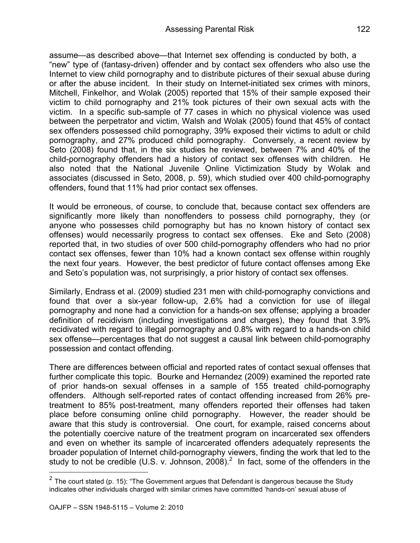assume—as described above—that Internet sex offending is conducted by both, a "new" type of (fantasy-driven) offender and by contact sex offenders who also use the Internet to view child pornography and to distribute pictures of their sexual abuse during or after the abuse incident. In their study on Internet-initiated sex crimes with minors, Mitchell, Finkelhor, and Wolak (2005) reported that 15% of their sample exposed their victim to child pornography and 21% took pictures of their own sexual acts with the victim. In a specific sub-sample of 77 cases in which no physical violence was used between the perpetrator and victim, Walsh and Wolak (2005) found that 45% of contact sex offenders possessed child pornography, 39% exposed their victims to adult or child pornography, and 27% produced child pornography. Conversely, a recent review by Seto (2008) found that, in the six studies he reviewed, between 7% and 40% of the child-pornography offenders had a history of contact sex offenses with children. He also noted that the National Juvenile Online Victimization Study by Wolak and associates (discussed in Seto, 2008, p. 59), which studied over 400 child-pornography offenders, found that 11% had prior contact sex offenses.

It would be erroneous, of course, to conclude that, because contact sex offenders are significantly more likely than nonoffenders to possess child pornography, they (or anyone who possesses child pornography but has no known history of contact sex offenses) would necessarily progress to contact sex offenses. Eke and Seto (2008) reported that, in two studies of over 500 child-pornography offenders who had no prior contact sex offenses, fewer than 10% had a known contact sex offense within roughly the next four years. However, the best predictor of future contact offenses among Eke and Seto's population was, not surprisingly, a prior history of contact sex offenses.

Similarly, Endrass et al. (2009) studied 231 men with child-pornography convictions and found that over a six-year follow-up, 2.6% had a conviction for use of illegal pornography and none had a conviction for a hands-on sex offense; applying a broader definition of recidivism (including investigations and charges), they found that 3.9% recidivated with regard to illegal pornography and 0.8% with regard to a hands-on child sex offense—percentages that do not suggest a causal link between child-pornography possession and contact offending.

There are differences between official and reported rates of contact sexual offenses that further complicate this topic. Bourke and Hernandez (2009) examined the reported rate of prior hands-on sexual offenses in a sample of 155 treated child-pornography offenders. Although self-reported rates of contact offending increased from 26% pretreatment to 85% post-treatment, many offenders reported their offenses had taken place before consuming online child pornography. However, the reader should be aware that this study is controversial. One court, for example, raised concerns about the potentially coercive nature of the treatment program on incarcerated sex offenders and even on whether its sample of incarcerated offenders adequately represents the broader population of Internet child-pornography viewers, finding the work that led to the study to not be credible (U.S. v. Johnson, 2008).<sup>2</sup> In fact, some of the offenders in the

 $2$  The court stated (p. 15): "The Government argues that Defendant is dangerous because the Study indicates other individuals charged with similar crimes have committed 'hands-on' sexual abuse of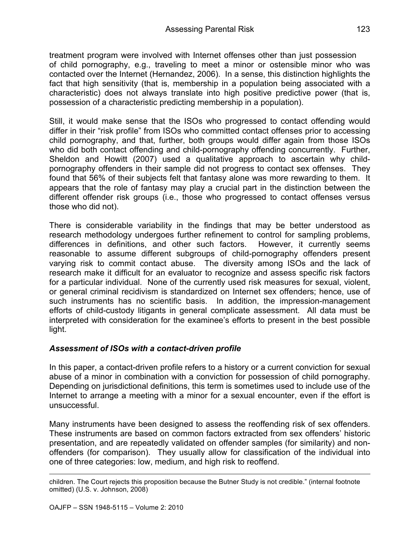treatment program were involved with Internet offenses other than just possession of child pornography, e.g., traveling to meet a minor or ostensible minor who was contacted over the Internet (Hernandez, 2006). In a sense, this distinction highlights the fact that high sensitivity (that is, membership in a population being associated with a characteristic) does not always translate into high positive predictive power (that is, possession of a characteristic predicting membership in a population).

Still, it would make sense that the ISOs who progressed to contact offending would differ in their "risk profile" from ISOs who committed contact offenses prior to accessing child pornography, and that, further, both groups would differ again from those ISOs who did both contact offending and child-pornography offending concurrently. Further, Sheldon and Howitt (2007) used a qualitative approach to ascertain why childpornography offenders in their sample did not progress to contact sex offenses. They found that 56% of their subjects felt that fantasy alone was more rewarding to them. It appears that the role of fantasy may play a crucial part in the distinction between the different offender risk groups (i.e., those who progressed to contact offenses versus those who did not).

There is considerable variability in the findings that may be better understood as research methodology undergoes further refinement to control for sampling problems, differences in definitions, and other such factors. However, it currently seems reasonable to assume different subgroups of child-pornography offenders present varying risk to commit contact abuse. The diversity among ISOs and the lack of research make it difficult for an evaluator to recognize and assess specific risk factors for a particular individual. None of the currently used risk measures for sexual, violent, or general criminal recidivism is standardized on Internet sex offenders; hence, use of such instruments has no scientific basis. In addition, the impression-management efforts of child-custody litigants in general complicate assessment. All data must be interpreted with consideration for the examinee's efforts to present in the best possible light.

## *Assessment of ISOs with a contact-driven profile*

In this paper, a contact-driven profile refers to a history or a current conviction for sexual abuse of a minor in combination with a conviction for possession of child pornography. Depending on jurisdictional definitions, this term is sometimes used to include use of the Internet to arrange a meeting with a minor for a sexual encounter, even if the effort is unsuccessful.

Many instruments have been designed to assess the reoffending risk of sex offenders. These instruments are based on common factors extracted from sex offenders' historic presentation, and are repeatedly validated on offender samples (for similarity) and nonoffenders (for comparison). They usually allow for classification of the individual into one of three categories: low, medium, and high risk to reoffend.

children. The Court rejects this proposition because the Butner Study is not credible." (internal footnote omitted) (U.S. v. Johnson, 2008)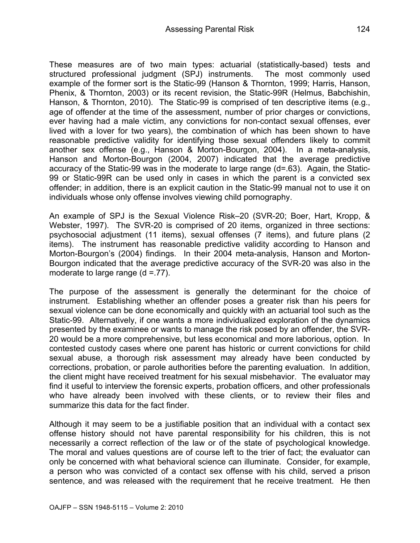These measures are of two main types: actuarial (statistically-based) tests and structured professional judgment (SPJ) instruments. The most commonly used example of the former sort is the Static-99 (Hanson & Thornton, 1999; Harris, Hanson, Phenix, & Thornton, 2003) or its recent revision, the Static-99R (Helmus, Babchishin, Hanson, & Thornton, 2010). The Static-99 is comprised of ten descriptive items (e.g., age of offender at the time of the assessment, number of prior charges or convictions, ever having had a male victim, any convictions for non-contact sexual offenses, ever lived with a lover for two years), the combination of which has been shown to have reasonable predictive validity for identifying those sexual offenders likely to commit another sex offense (e.g., Hanson & Morton-Bourgon, 2004). In a meta-analysis, Hanson and Morton-Bourgon (2004, 2007) indicated that the average predictive accuracy of the Static-99 was in the moderate to large range (d=.63). Again, the Static-99 or Static-99R can be used only in cases in which the parent is a convicted sex offender; in addition, there is an explicit caution in the Static-99 manual not to use it on individuals whose only offense involves viewing child pornography.

An example of SPJ is the Sexual Violence Risk–20 (SVR-20; Boer, Hart, Kropp, & Webster, 1997). The SVR-20 is comprised of 20 items, organized in three sections: psychosocial adjustment (11 items), sexual offenses (7 items), and future plans (2 items). The instrument has reasonable predictive validity according to Hanson and Morton-Bourgon's (2004) findings. In their 2004 meta-analysis, Hanson and Morton-Bourgon indicated that the average predictive accuracy of the SVR-20 was also in the moderate to large range  $(d = .77)$ .

The purpose of the assessment is generally the determinant for the choice of instrument. Establishing whether an offender poses a greater risk than his peers for sexual violence can be done economically and quickly with an actuarial tool such as the Static-99. Alternatively, if one wants a more individualized exploration of the dynamics presented by the examinee or wants to manage the risk posed by an offender, the SVR-20 would be a more comprehensive, but less economical and more laborious, option. In contested custody cases where one parent has historic or current convictions for child sexual abuse, a thorough risk assessment may already have been conducted by corrections, probation, or parole authorities before the parenting evaluation. In addition, the client might have received treatment for his sexual misbehavior. The evaluator may find it useful to interview the forensic experts, probation officers, and other professionals who have already been involved with these clients, or to review their files and summarize this data for the fact finder.

Although it may seem to be a justifiable position that an individual with a contact sex offense history should not have parental responsibility for his children, this is not necessarily a correct reflection of the law or of the state of psychological knowledge. The moral and values questions are of course left to the trier of fact; the evaluator can only be concerned with what behavioral science can illuminate. Consider, for example, a person who was convicted of a contact sex offense with his child, served a prison sentence, and was released with the requirement that he receive treatment. He then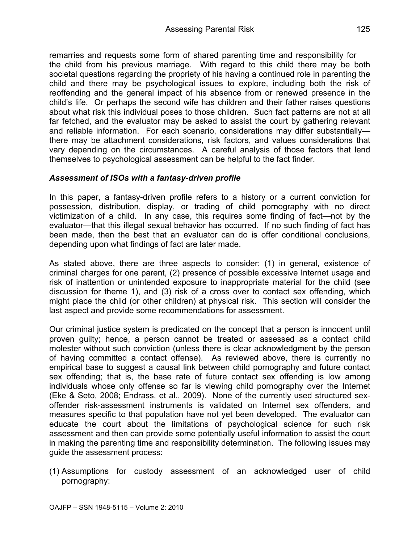remarries and requests some form of shared parenting time and responsibility for the child from his previous marriage. With regard to this child there may be both societal questions regarding the propriety of his having a continued role in parenting the child and there may be psychological issues to explore, including both the risk of reoffending and the general impact of his absence from or renewed presence in the child's life. Or perhaps the second wife has children and their father raises questions about what risk this individual poses to those children. Such fact patterns are not at all far fetched, and the evaluator may be asked to assist the court by gathering relevant and reliable information. For each scenario, considerations may differ substantially there may be attachment considerations, risk factors, and values considerations that vary depending on the circumstances. A careful analysis of those factors that lend themselves to psychological assessment can be helpful to the fact finder.

## *Assessment of ISOs with a fantasy-driven profile*

In this paper, a fantasy-driven profile refers to a history or a current conviction for possession, distribution, display, or trading of child pornography with no direct victimization of a child. In any case, this requires some finding of fact—not by the evaluator—that this illegal sexual behavior has occurred. If no such finding of fact has been made, then the best that an evaluator can do is offer conditional conclusions, depending upon what findings of fact are later made.

As stated above, there are three aspects to consider: (1) in general, existence of criminal charges for one parent, (2) presence of possible excessive Internet usage and risk of inattention or unintended exposure to inappropriate material for the child (see discussion for theme 1), and (3) risk of a cross over to contact sex offending, which might place the child (or other children) at physical risk. This section will consider the last aspect and provide some recommendations for assessment.

Our criminal justice system is predicated on the concept that a person is innocent until proven guilty; hence, a person cannot be treated or assessed as a contact child molester without such conviction (unless there is clear acknowledgment by the person of having committed a contact offense). As reviewed above, there is currently no empirical base to suggest a causal link between child pornography and future contact sex offending; that is, the base rate of future contact sex offending is low among individuals whose only offense so far is viewing child pornography over the Internet (Eke & Seto, 2008; Endrass, et al., 2009). None of the currently used structured sexoffender risk-assessment instruments is validated on Internet sex offenders, and measures specific to that population have not yet been developed. The evaluator can educate the court about the limitations of psychological science for such risk assessment and then can provide some potentially useful information to assist the court in making the parenting time and responsibility determination. The following issues may guide the assessment process:

(1) Assumptions for custody assessment of an acknowledged user of child pornography: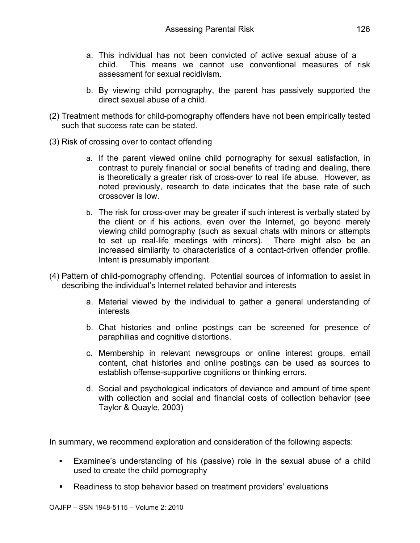- a. This individual has not been convicted of active sexual abuse of a child. This means we cannot use conventional measures of risk assessment for sexual recidivism.
- b. By viewing child pornography, the parent has passively supported the direct sexual abuse of a child.
- (2) Treatment methods for child-pornography offenders have not been empirically tested such that success rate can be stated.
- (3) Risk of crossing over to contact offending
	- a. If the parent viewed online child pornography for sexual satisfaction, in contrast to purely financial or social benefits of trading and dealing, there is theoretically a greater risk of cross-over to real life abuse. However, as noted previously, research to date indicates that the base rate of such crossover is low.
	- b. The risk for cross-over may be greater if such interest is verbally stated by the client or if his actions, even over the Internet, go beyond merely viewing child pornography (such as sexual chats with minors or attempts to set up real-life meetings with minors). There might also be an increased similarity to characteristics of a contact-driven offender profile. Intent is presumably important.
- (4) Pattern of child-pornography offending. Potential sources of information to assist in describing the individual's Internet related behavior and interests
	- a. Material viewed by the individual to gather a general understanding of interests
	- b. Chat histories and online postings can be screened for presence of paraphilias and cognitive distortions.
	- c. Membership in relevant newsgroups or online interest groups, email content, chat histories and online postings can be used as sources to establish offense-supportive cognitions or thinking errors.
	- d. Social and psychological indicators of deviance and amount of time spent with collection and social and financial costs of collection behavior (see Taylor & Quayle, 2003)

In summary, we recommend exploration and consideration of the following aspects:

- Examinee's understanding of his (passive) role in the sexual abuse of a child used to create the child pornography
- Readiness to stop behavior based on treatment providers' evaluations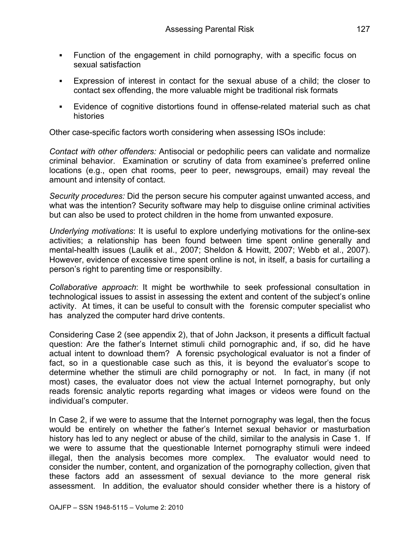- Function of the engagement in child pornography, with a specific focus on sexual satisfaction
- § Expression of interest in contact for the sexual abuse of a child; the closer to contact sex offending, the more valuable might be traditional risk formats
- § Evidence of cognitive distortions found in offense-related material such as chat histories

Other case-specific factors worth considering when assessing ISOs include:

*Contact with other offenders:* Antisocial or pedophilic peers can validate and normalize criminal behavior. Examination or scrutiny of data from examinee's preferred online locations (e.g., open chat rooms, peer to peer, newsgroups, email) may reveal the amount and intensity of contact.

*Security procedures:* Did the person secure his computer against unwanted access, and what was the intention? Security software may help to disquise online criminal activities but can also be used to protect children in the home from unwanted exposure.

*Underlying motivations*: It is useful to explore underlying motivations for the online-sex activities; a relationship has been found between time spent online generally and mental-health issues (Laulik et al., 2007; Sheldon & Howitt, 2007; Webb et al., 2007). However, evidence of excessive time spent online is not, in itself, a basis for curtailing a person's right to parenting time or responsibilty.

*Collaborative approach*: It might be worthwhile to seek professional consultation in technological issues to assist in assessing the extent and content of the subject's online activity. At times, it can be useful to consult with the forensic computer specialist who has analyzed the computer hard drive contents.

Considering Case 2 (see appendix 2), that of John Jackson, it presents a difficult factual question: Are the father's Internet stimuli child pornographic and, if so, did he have actual intent to download them? A forensic psychological evaluator is not a finder of fact, so in a questionable case such as this, it is beyond the evaluator's scope to determine whether the stimuli are child pornography or not. In fact, in many (if not most) cases, the evaluator does not view the actual Internet pornography, but only reads forensic analytic reports regarding what images or videos were found on the individual's computer.

In Case 2, if we were to assume that the Internet pornography was legal, then the focus would be entirely on whether the father's Internet sexual behavior or masturbation history has led to any neglect or abuse of the child, similar to the analysis in Case 1. If we were to assume that the questionable Internet pornography stimuli were indeed illegal, then the analysis becomes more complex. The evaluator would need to consider the number, content, and organization of the pornography collection, given that these factors add an assessment of sexual deviance to the more general risk assessment. In addition, the evaluator should consider whether there is a history of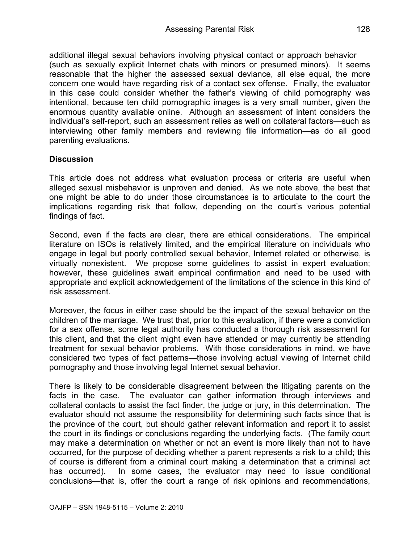additional illegal sexual behaviors involving physical contact or approach behavior (such as sexually explicit Internet chats with minors or presumed minors). It seems reasonable that the higher the assessed sexual deviance, all else equal, the more concern one would have regarding risk of a contact sex offense. Finally, the evaluator in this case could consider whether the father's viewing of child pornography was intentional, because ten child pornographic images is a very small number, given the enormous quantity available online. Although an assessment of intent considers the individual's self-report, such an assessment relies as well on collateral factors—such as interviewing other family members and reviewing file information—as do all good parenting evaluations.

#### **Discussion**

This article does not address what evaluation process or criteria are useful when alleged sexual misbehavior is unproven and denied. As we note above, the best that one might be able to do under those circumstances is to articulate to the court the implications regarding risk that follow, depending on the court's various potential findings of fact.

Second, even if the facts are clear, there are ethical considerations. The empirical literature on ISOs is relatively limited, and the empirical literature on individuals who engage in legal but poorly controlled sexual behavior, Internet related or otherwise, is virtually nonexistent. We propose some guidelines to assist in expert evaluation; however, these guidelines await empirical confirmation and need to be used with appropriate and explicit acknowledgement of the limitations of the science in this kind of risk assessment.

Moreover, the focus in either case should be the impact of the sexual behavior on the children of the marriage. We trust that, prior to this evaluation, if there were a conviction for a sex offense, some legal authority has conducted a thorough risk assessment for this client, and that the client might even have attended or may currently be attending treatment for sexual behavior problems. With those considerations in mind, we have considered two types of fact patterns—those involving actual viewing of Internet child pornography and those involving legal Internet sexual behavior.

There is likely to be considerable disagreement between the litigating parents on the facts in the case. The evaluator can gather information through interviews and collateral contacts to assist the fact finder, the judge or jury, in this determination. The evaluator should not assume the responsibility for determining such facts since that is the province of the court, but should gather relevant information and report it to assist the court in its findings or conclusions regarding the underlying facts. (The family court may make a determination on whether or not an event is more likely than not to have occurred, for the purpose of deciding whether a parent represents a risk to a child; this of course is different from a criminal court making a determination that a criminal act has occurred). In some cases, the evaluator may need to issue conditional conclusions—that is, offer the court a range of risk opinions and recommendations,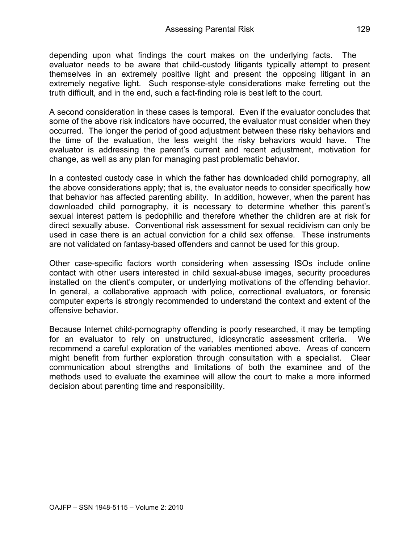depending upon what findings the court makes on the underlying facts. The evaluator needs to be aware that child-custody litigants typically attempt to present themselves in an extremely positive light and present the opposing litigant in an extremely negative light. Such response-style considerations make ferreting out the truth difficult, and in the end, such a fact-finding role is best left to the court.

A second consideration in these cases is temporal. Even if the evaluator concludes that some of the above risk indicators have occurred, the evaluator must consider when they occurred. The longer the period of good adjustment between these risky behaviors and the time of the evaluation, the less weight the risky behaviors would have. The evaluator is addressing the parent's current and recent adjustment, motivation for change, as well as any plan for managing past problematic behavior.

In a contested custody case in which the father has downloaded child pornography, all the above considerations apply; that is, the evaluator needs to consider specifically how that behavior has affected parenting ability. In addition, however, when the parent has downloaded child pornography, it is necessary to determine whether this parent's sexual interest pattern is pedophilic and therefore whether the children are at risk for direct sexually abuse. Conventional risk assessment for sexual recidivism can only be used in case there is an actual conviction for a child sex offense. These instruments are not validated on fantasy-based offenders and cannot be used for this group.

Other case-specific factors worth considering when assessing ISOs include online contact with other users interested in child sexual-abuse images, security procedures installed on the client's computer, or underlying motivations of the offending behavior. In general, a collaborative approach with police, correctional evaluators, or forensic computer experts is strongly recommended to understand the context and extent of the offensive behavior.

Because Internet child-pornography offending is poorly researched, it may be tempting for an evaluator to rely on unstructured, idiosyncratic assessment criteria. We recommend a careful exploration of the variables mentioned above. Areas of concern might benefit from further exploration through consultation with a specialist. Clear communication about strengths and limitations of both the examinee and of the methods used to evaluate the examinee will allow the court to make a more informed decision about parenting time and responsibility.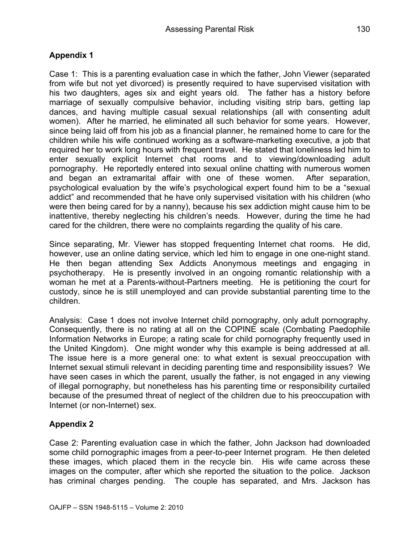## **Appendix 1**

Case 1: This is a parenting evaluation case in which the father, John Viewer (separated from wife but not yet divorced) is presently required to have supervised visitation with his two daughters, ages six and eight years old. The father has a history before marriage of sexually compulsive behavior, including visiting strip bars, getting lap dances, and having multiple casual sexual relationships (all with consenting adult women). After he married, he eliminated all such behavior for some years. However, since being laid off from his job as a financial planner, he remained home to care for the children while his wife continued working as a software-marketing executive, a job that required her to work long hours with frequent travel. He stated that loneliness led him to enter sexually explicit Internet chat rooms and to viewing/downloading adult pornography. He reportedly entered into sexual online chatting with numerous women and began an extramarital affair with one of these women. After separation, psychological evaluation by the wife's psychological expert found him to be a "sexual addict" and recommended that he have only supervised visitation with his children (who were then being cared for by a nanny), because his sex addiction might cause him to be inattentive, thereby neglecting his children's needs. However, during the time he had cared for the children, there were no complaints regarding the quality of his care.

Since separating, Mr. Viewer has stopped frequenting Internet chat rooms. He did, however, use an online dating service, which led him to engage in one one-night stand. He then began attending Sex Addicts Anonymous meetings and engaging in psychotherapy. He is presently involved in an ongoing romantic relationship with a woman he met at a Parents-without-Partners meeting. He is petitioning the court for custody, since he is still unemployed and can provide substantial parenting time to the children.

Analysis: Case 1 does not involve Internet child pornography, only adult pornography. Consequently, there is no rating at all on the COPINE scale (Combating Paedophile Information Networks in Europe; a rating scale for child pornography frequently used in the United Kingdom). One might wonder why this example is being addressed at all. The issue here is a more general one: to what extent is sexual preoccupation with Internet sexual stimuli relevant in deciding parenting time and responsibility issues? We have seen cases in which the parent, usually the father, is not engaged in any viewing of illegal pornography, but nonetheless has his parenting time or responsibility curtailed because of the presumed threat of neglect of the children due to his preoccupation with Internet (or non-Internet) sex.

### **Appendix 2**

Case 2: Parenting evaluation case in which the father, John Jackson had downloaded some child pornographic images from a peer-to-peer Internet program. He then deleted these images, which placed them in the recycle bin. His wife came across these images on the computer, after which she reported the situation to the police. Jackson has criminal charges pending. The couple has separated, and Mrs. Jackson has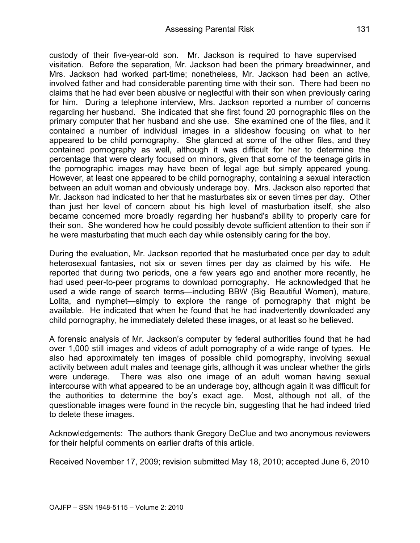custody of their five-year-old son. Mr. Jackson is required to have supervised visitation. Before the separation, Mr. Jackson had been the primary breadwinner, and Mrs. Jackson had worked part-time; nonetheless, Mr. Jackson had been an active, involved father and had considerable parenting time with their son. There had been no claims that he had ever been abusive or neglectful with their son when previously caring for him. During a telephone interview, Mrs. Jackson reported a number of concerns regarding her husband. She indicated that she first found 20 pornographic files on the primary computer that her husband and she use. She examined one of the files, and it contained a number of individual images in a slideshow focusing on what to her appeared to be child pornography. She glanced at some of the other files, and they contained pornography as well, although it was difficult for her to determine the percentage that were clearly focused on minors, given that some of the teenage girls in the pornographic images may have been of legal age but simply appeared young. However, at least one appeared to be child pornography, containing a sexual interaction between an adult woman and obviously underage boy. Mrs. Jackson also reported that Mr. Jackson had indicated to her that he masturbates six or seven times per day. Other than just her level of concern about his high level of masturbation itself, she also became concerned more broadly regarding her husband's ability to properly care for their son. She wondered how he could possibly devote sufficient attention to their son if he were masturbating that much each day while ostensibly caring for the boy.

During the evaluation, Mr. Jackson reported that he masturbated once per day to adult heterosexual fantasies, not six or seven times per day as claimed by his wife. He reported that during two periods, one a few years ago and another more recently, he had used peer-to-peer programs to download pornography. He acknowledged that he used a wide range of search terms—including BBW (Big Beautiful Women), mature, Lolita, and nymphet—simply to explore the range of pornography that might be available. He indicated that when he found that he had inadvertently downloaded any child pornography, he immediately deleted these images, or at least so he believed.

A forensic analysis of Mr. Jackson's computer by federal authorities found that he had over 1,000 still images and videos of adult pornography of a wide range of types. He also had approximately ten images of possible child pornography, involving sexual activity between adult males and teenage girls, although it was unclear whether the girls were underage. There was also one image of an adult woman having sexual intercourse with what appeared to be an underage boy, although again it was difficult for the authorities to determine the boy's exact age. Most, although not all, of the questionable images were found in the recycle bin, suggesting that he had indeed tried to delete these images.

Acknowledgements: The authors thank Gregory DeClue and two anonymous reviewers for their helpful comments on earlier drafts of this article.

Received November 17, 2009; revision submitted May 18, 2010; accepted June 6, 2010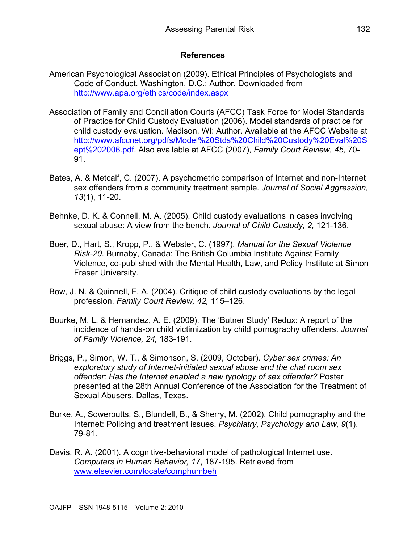### **References**

- American Psychological Association (2009). Ethical Principles of Psychologists and Code of Conduct. Washington, D.C.: Author. Downloaded from http://www.apa.org/ethics/code/index.aspx
- Association of Family and Conciliation Courts (AFCC) Task Force for Model Standards of Practice for Child Custody Evaluation (2006). Model standards of practice for child custody evaluation. Madison, WI: Author. Available at the AFCC Website at http://www.afccnet.org/pdfs/Model%20Stds%20Child%20Custody%20Eval%20S ept%202006.pdf. Also available at AFCC (2007), *Family Court Review, 45,* 70- 91.
- Bates, A. & Metcalf, C. (2007). A psychometric comparison of Internet and non-Internet sex offenders from a community treatment sample. *Journal of Social Aggression, 13*(1), 11-20.
- Behnke, D. K. & Connell, M. A. (2005). Child custody evaluations in cases involving sexual abuse: A view from the bench. *Journal of Child Custody, 2,* 121-136.
- Boer, D., Hart, S., Kropp, P., & Webster, C. (1997). *Manual for the Sexual Violence Risk-20.* Burnaby, Canada: The British Columbia Institute Against Family Violence, co-published with the Mental Health, Law, and Policy Institute at Simon Fraser University.
- Bow, J. N. & Quinnell, F. A. (2004). Critique of child custody evaluations by the legal profession. *Family Court Review, 42,* 115–126.
- Bourke, M. L. & Hernandez, A. E. (2009). The 'Butner Study' Redux: A report of the incidence of hands-on child victimization by child pornography offenders. *Journal of Family Violence, 24,* 183-191.
- Briggs, P., Simon, W. T., & Simonson, S. (2009, October). *Cyber sex crimes: An exploratory study of Internet-initiated sexual abuse and the chat room sex offender: Has the Internet enabled a new typology of sex offender?* Poster presented at the 28th Annual Conference of the Association for the Treatment of Sexual Abusers, Dallas, Texas.
- Burke, A., Sowerbutts, S., Blundell, B., & Sherry, M. (2002). Child pornography and the Internet: Policing and treatment issues. *Psychiatry, Psychology and Law, 9*(1), 79-81.
- Davis, R. A. (2001). A cognitive-behavioral model of pathological Internet use. *Computers in Human Behavior, 17*, 187-195. Retrieved from www.elsevier.com/locate/comphumbeh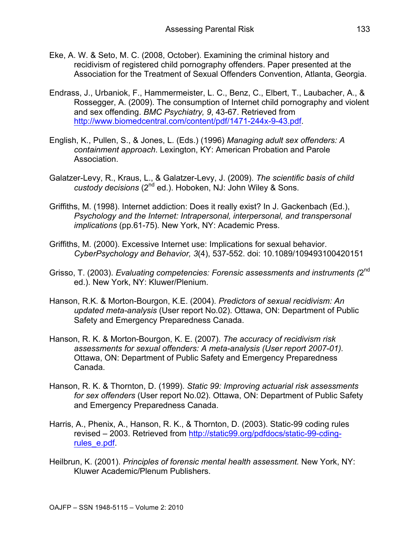- Eke, A. W. & Seto, M. C. (2008, October). Examining the criminal history and recidivism of registered child pornography offenders. Paper presented at the Association for the Treatment of Sexual Offenders Convention, Atlanta, Georgia.
- Endrass, J., Urbaniok, F., Hammermeister, L. C., Benz, C., Elbert, T., Laubacher, A., & Rossegger, A. (2009). The consumption of Internet child pornography and violent and sex offending. *BMC Psychiatry, 9*, 43-67. Retrieved from http://www.biomedcentral.com/content/pdf/1471-244x-9-43.pdf.
- English, K., Pullen, S., & Jones, L. (Eds.) (1996) *Managing adult sex offenders: A containment approach*. Lexington, KY: American Probation and Parole Association.
- Galatzer-Levy, R., Kraus, L., & Galatzer-Levy, J. (2009). *The scientific basis of child custody decisions* (2nd ed.). Hoboken, NJ: John Wiley & Sons.
- Griffiths, M. (1998). Internet addiction: Does it really exist? In J. Gackenbach (Ed.), *Psychology and the Internet: Intrapersonal, interpersonal, and transpersonal implications* (pp.61-75)*.* New York, NY: Academic Press.
- Griffiths, M. (2000). Excessive Internet use: Implications for sexual behavior. *CyberPsychology and Behavior, 3*(4), 537-552. doi: 10.1089/109493100420151
- Grisso, T. (2003). *Evaluating competencies: Forensic assessments and instruments (*2nd ed.). New York, NY: Kluwer/Plenium.
- Hanson, R.K. & Morton-Bourgon, K.E. (2004). *Predictors of sexual recidivism: An updated meta-analysis* (User report No.02). Ottawa, ON: Department of Public Safety and Emergency Preparedness Canada.
- Hanson, R. K. & Morton-Bourgon, K. E. (2007). *The accuracy of recidivism risk assessments for sexual offenders: A meta-analysis (User report 2007-01).*  Ottawa, ON: Department of Public Safety and Emergency Preparedness Canada.
- Hanson, R. K. & Thornton, D. (1999). *Static 99: Improving actuarial risk assessments for sex offenders* (User report No.02). Ottawa, ON: Department of Public Safety and Emergency Preparedness Canada.
- Harris, A., Phenix, A., Hanson, R. K., & Thornton, D. (2003). Static-99 coding rules revised – 2003. Retrieved from http://static99.org/pdfdocs/static-99-cdingrules\_e.pdf.
- Heilbrun, K. (2001). *Principles of forensic mental health assessment.* New York, NY: Kluwer Academic/Plenum Publishers.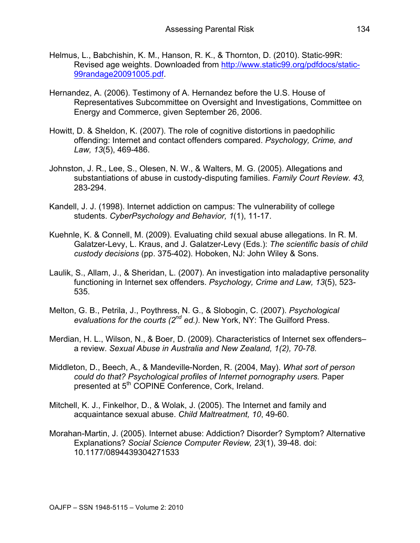- Helmus, L., Babchishin, K. M., Hanson, R. K., & Thornton, D. (2010). Static-99R: Revised age weights. Downloaded from http://www.static99.org/pdfdocs/static-99randage20091005.pdf.
- Hernandez, A. (2006). Testimony of A. Hernandez before the U.S. House of Representatives Subcommittee on Oversight and Investigations, Committee on Energy and Commerce, given September 26, 2006.
- Howitt, D. & Sheldon, K. (2007). The role of cognitive distortions in paedophilic offending: Internet and contact offenders compared. *Psychology, Crime, and Law, 13*(5), 469-486.
- Johnston, J. R., Lee, S., Olesen, N. W., & Walters, M. G. (2005). Allegations and substantiations of abuse in custody-disputing families. *Family Court Review. 43,* 283-294.
- Kandell, J. J. (1998). Internet addiction on campus: The vulnerability of college students. *CyberPsychology and Behavior, 1*(1), 11-17.
- Kuehnle, K. & Connell, M. (2009). Evaluating child sexual abuse allegations. In R. M. Galatzer-Levy, L. Kraus, and J. Galatzer-Levy (Eds.): *The scientific basis of child custody decisions* (pp. 375-402). Hoboken, NJ: John Wiley & Sons.
- Laulik, S., Allam, J., & Sheridan, L. (2007). An investigation into maladaptive personality functioning in Internet sex offenders. *Psychology, Crime and Law, 13*(5), 523- 535.
- Melton, G. B., Petrila, J., Poythress, N. G., & Slobogin, C. (2007). *Psychological evaluations for the courts (2nd ed.).* New York, NY: The Guilford Press.
- Merdian, H. L., Wilson, N., & Boer, D. (2009). Characteristics of Internet sex offenders– a review. *Sexual Abuse in Australia and New Zealand, 1(2), 70-78.*
- Middleton, D., Beech, A., & Mandeville-Norden, R. (2004, May). *What sort of person could do that? Psychological profiles of Internet pornography users.* Paper presented at 5<sup>th</sup> COPINE Conference, Cork, Ireland.
- Mitchell, K. J., Finkelhor, D., & Wolak, J. (2005). The Internet and family and acquaintance sexual abuse. *Child Maltreatment, 10*, 49-60.
- Morahan-Martin, J. (2005). Internet abuse: Addiction? Disorder? Symptom? Alternative Explanations? *Social Science Computer Review, 23*(1), 39-48. doi: 10.1177/0894439304271533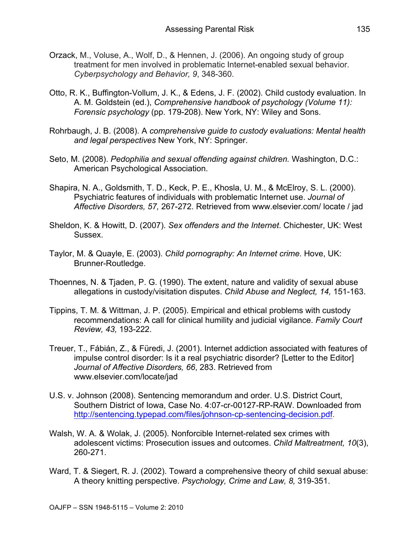- Orzack, M., Voluse, A., Wolf, D., & Hennen, J. (2006). An ongoing study of group treatment for men involved in problematic Internet-enabled sexual behavior. *Cyberpsychology and Behavior, 9*, 348-360.
- Otto, R. K., Buffington-Vollum, J. K., & Edens, J. F. (2002). Child custody evaluation. In A. M. Goldstein (ed.), *Comprehensive handbook of psychology (Volume 11): Forensic psychology* (pp. 179-208). New York, NY: Wiley and Sons.
- Rohrbaugh, J. B. (2008). A *comprehensive guide to custody evaluations: Mental health and legal perspectives* New York, NY: Springer.
- Seto, M. (2008). *Pedophilia and sexual offending against children.* Washington, D.C.: American Psychological Association.
- Shapira, N. A., Goldsmith, T. D., Keck, P. E., Khosla, U. M., & McElroy, S. L. (2000). Psychiatric features of individuals with problematic Internet use. *Journal of Affective Disorders, 57,* 267-272. Retrieved from www.elsevier.com/ locate / jad
- Sheldon, K. & Howitt, D. (2007). *Sex offenders and the Internet*. Chichester, UK: West Sussex.
- Taylor, M. & Quayle, E. (2003). *Child pornography: An Internet crime*. Hove, UK: Brunner-Routledge.
- Thoennes, N. & Tjaden, P. G. (1990). The extent, nature and validity of sexual abuse allegations in custody/visitation disputes. *Child Abuse and Neglect, 14,* 151-163.
- Tippins, T. M. & Wittman, J. P. (2005). Empirical and ethical problems with custody recommendations: A call for clinical humility and judicial vigilance. *Family Court Review, 43,* 193-222.
- Treuer, T., Fábián, Z., & Füredi, J. (2001). Internet addiction associated with features of impulse control disorder: Is it a real psychiatric disorder? [Letter to the Editor] *Journal of Affective Disorders, 66*, 283. Retrieved from www.elsevier.com/locate/jad
- U.S. v. Johnson (2008). Sentencing memorandum and order. U.S. District Court, Southern District of Iowa, Case No. 4:07-cr-00127-RP-RAW. Downloaded from http://sentencing.typepad.com/files/johnson-cp-sentencing-decision.pdf.
- Walsh, W. A. & Wolak, J. (2005). Nonforcible Internet-related sex crimes with adolescent victims: Prosecution issues and outcomes. *Child Maltreatment, 10*(3), 260-271.
- Ward, T. & Siegert, R. J. (2002). Toward a comprehensive theory of child sexual abuse: A theory knitting perspective. *Psychology, Crime and Law, 8,* 319-351.